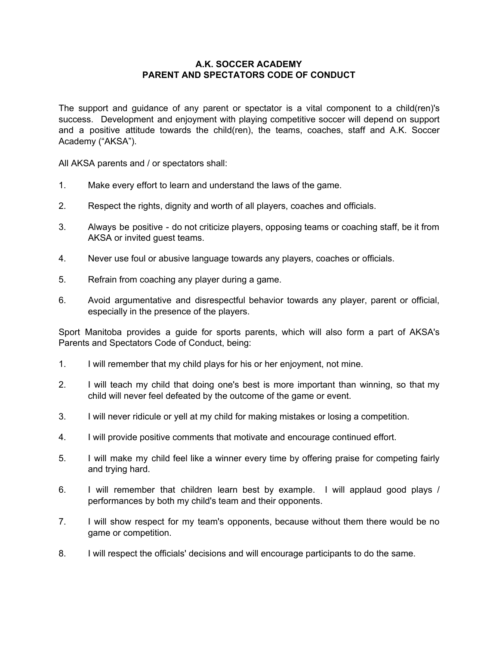## **A.K. SOCCER ACADEMY PARENT AND SPECTATORS CODE OF CONDUCT**

The support and guidance of any parent or spectator is a vital component to a child(ren)'s success. Development and enjoyment with playing competitive soccer will depend on support and a positive attitude towards the child(ren), the teams, coaches, staff and A.K. Soccer Academy ("AKSA").

All AKSA parents and / or spectators shall:

- 1. Make every effort to learn and understand the laws of the game.
- 2. Respect the rights, dignity and worth of all players, coaches and officials.
- 3. Always be positive do not criticize players, opposing teams or coaching staff, be it from AKSA or invited guest teams.
- 4. Never use foul or abusive language towards any players, coaches or officials.
- 5. Refrain from coaching any player during a game.
- 6. Avoid argumentative and disrespectful behavior towards any player, parent or official, especially in the presence of the players.

Sport Manitoba provides a guide for sports parents, which will also form a part of AKSA's Parents and Spectators Code of Conduct, being:

- 1. I will remember that my child plays for his or her enjoyment, not mine.
- 2. I will teach my child that doing one's best is more important than winning, so that my child will never feel defeated by the outcome of the game or event.
- 3. I will never ridicule or yell at my child for making mistakes or losing a competition.
- 4. I will provide positive comments that motivate and encourage continued effort.
- 5. I will make my child feel like a winner every time by offering praise for competing fairly and trying hard.
- 6. I will remember that children learn best by example. I will applaud good plays / performances by both my child's team and their opponents.
- 7. I will show respect for my team's opponents, because without them there would be no game or competition.
- 8. I will respect the officials' decisions and will encourage participants to do the same.